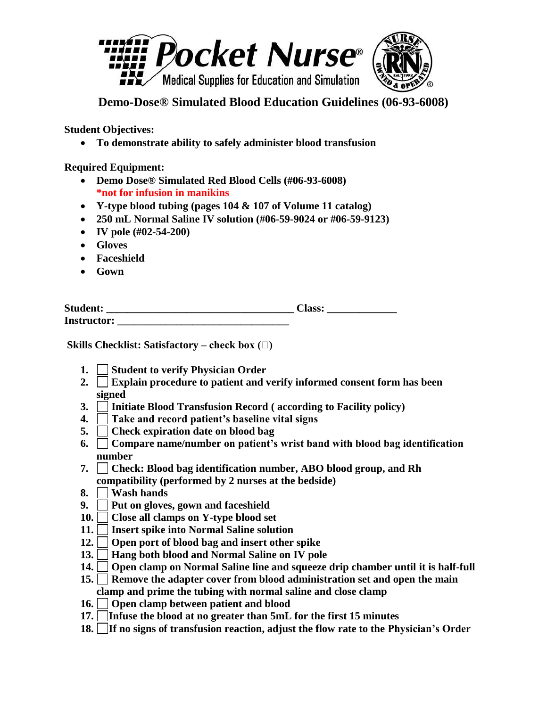

**Demo-Dose® Simulated Blood Education Guidelines (06-93-6008)**

**Student Objectives:**

**To demonstrate ability to safely administer blood transfusion**

**Required Equipment:**

- **Demo Dose® Simulated Red Blood Cells (#06-93-6008) \*not for infusion in manikins**
- **Y-type blood tubing (pages 104 & 107 of Volume 11 catalog)**
- **250 mL Normal Saline IV solution (#06-59-9024 or #06-59-9123)**
- **IV pole (#02-54-200)**
- **Gloves**
- **Faceshield**
- **Gown**

| <b>Student:</b>    | <b>lass:</b> |  |
|--------------------|--------------|--|
| <b>Instructor:</b> |              |  |

**Skills Checklist: Satisfactory – check box (** $\Box$ **)** 

- **1.** Student to verify Physician Order
- **2. Explain procedure to patient and verify informed consent form has been signed**
- **3. Initiate Blood Transfusion Record ( according to Facility policy)**
- **4. Take and record patient's baseline vital signs**
- **5. Check expiration date on blood bag**
- **6. Compare name/number on patient's wrist band with blood bag identification number**
- **7. Check: Blood bag identification number, ABO blood group, and Rh compatibility (performed by 2 nurses at the bedside)**
- **8. Wash hands**
- **9. Put on gloves, gown and faceshield**
- **10. Close all clamps on Y-type blood set**
- **11. Insert spike into Normal Saline solution**
- **12. Open port of blood bag and insert other spike**
- **13. Hang both blood and Normal Saline on IV pole**
- **14. Open clamp on Normal Saline line and squeeze drip chamber until it is half-full**
- **15. Remove the adapter cover from blood administration set and open the main clamp and prime the tubing with normal saline and close clamp**
- **16. Open clamp between patient and blood**
- **17. Infuse the blood at no greater than 5mL for the first 15 minutes**
- **18. If no signs of transfusion reaction, adjust the flow rate to the Physician's Order**